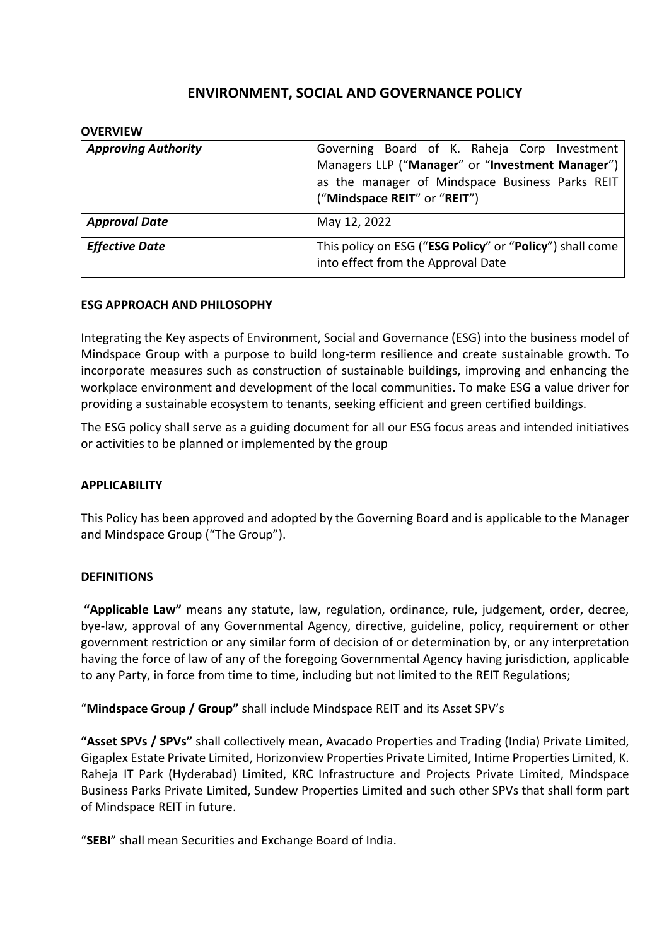# **ENVIRONMENT, SOCIAL AND GOVERNANCE POLICY**

#### **OVERVIEW**

| <b>Approving Authority</b> | Governing Board of K. Raheja Corp Investment<br>Managers LLP ("Manager" or "Investment Manager")<br>as the manager of Mindspace Business Parks REIT<br>("Mindspace REIT" or "REIT") |
|----------------------------|-------------------------------------------------------------------------------------------------------------------------------------------------------------------------------------|
| <b>Approval Date</b>       | May 12, 2022                                                                                                                                                                        |
| <b>Effective Date</b>      | This policy on ESG ("ESG Policy" or "Policy") shall come<br>into effect from the Approval Date                                                                                      |

### **ESG APPROACH AND PHILOSOPHY**

Integrating the Key aspects of Environment, Social and Governance (ESG) into the business model of Mindspace Group with a purpose to build long-term resilience and create sustainable growth. To incorporate measures such as construction of sustainable buildings, improving and enhancing the workplace environment and development of the local communities. To make ESG a value driver for providing a sustainable ecosystem to tenants, seeking efficient and green certified buildings.

The ESG policy shall serve as a guiding document for all our ESG focus areas and intended initiatives or activities to be planned or implemented by the group

### **APPLICABILITY**

This Policy has been approved and adopted by the Governing Board and is applicable to the Manager and Mindspace Group ("The Group").

### **DEFINITIONS**

**"Applicable Law"** means any statute, law, regulation, ordinance, rule, judgement, order, decree, bye-law, approval of any Governmental Agency, directive, guideline, policy, requirement or other government restriction or any similar form of decision of or determination by, or any interpretation having the force of law of any of the foregoing Governmental Agency having jurisdiction, applicable to any Party, in force from time to time, including but not limited to the REIT Regulations;

"**Mindspace Group / Group"** shall include Mindspace REIT and its Asset SPV's

**"Asset SPVs / SPVs"** shall collectively mean, Avacado Properties and Trading (India) Private Limited, Gigaplex Estate Private Limited, Horizonview Properties Private Limited, Intime Properties Limited, K. Raheja IT Park (Hyderabad) Limited, KRC Infrastructure and Projects Private Limited, Mindspace Business Parks Private Limited, Sundew Properties Limited and such other SPVs that shall form part of Mindspace REIT in future.

"**SEBI**" shall mean Securities and Exchange Board of India.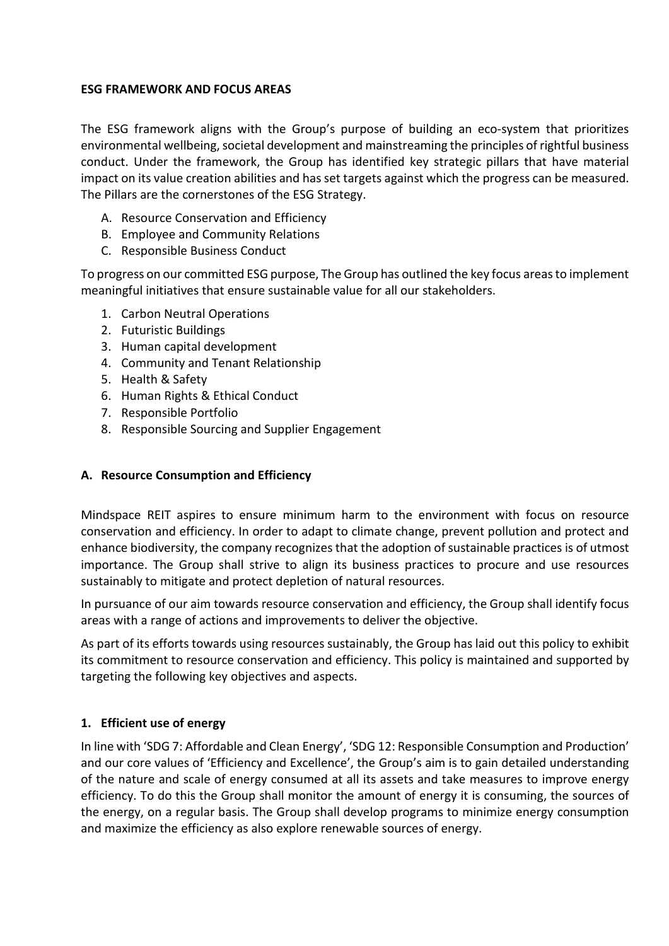### **ESG FRAMEWORK AND FOCUS AREAS**

The ESG framework aligns with the Group's purpose of building an eco-system that prioritizes environmental wellbeing, societal development and mainstreaming the principles of rightful business conduct. Under the framework, the Group has identified key strategic pillars that have material impact on its value creation abilities and has set targets against which the progress can be measured. The Pillars are the cornerstones of the ESG Strategy.

- A. Resource Conservation and Efficiency
- B. Employee and Community Relations
- C. Responsible Business Conduct

To progress on our committed ESG purpose, The Group has outlined the key focus areas to implement meaningful initiatives that ensure sustainable value for all our stakeholders.

- 1. Carbon Neutral Operations
- 2. Futuristic Buildings
- 3. Human capital development
- 4. Community and Tenant Relationship
- 5. Health & Safety
- 6. Human Rights & Ethical Conduct
- 7. Responsible Portfolio
- 8. Responsible Sourcing and Supplier Engagement

# **A. Resource Consumption and Efficiency**

Mindspace REIT aspires to ensure minimum harm to the environment with focus on resource conservation and efficiency. In order to adapt to climate change, prevent pollution and protect and enhance biodiversity, the company recognizes that the adoption of sustainable practices is of utmost importance. The Group shall strive to align its business practices to procure and use resources sustainably to mitigate and protect depletion of natural resources.

In pursuance of our aim towards resource conservation and efficiency, the Group shall identify focus areas with a range of actions and improvements to deliver the objective.

As part of its efforts towards using resources sustainably, the Group has laid out this policy to exhibit its commitment to resource conservation and efficiency. This policy is maintained and supported by targeting the following key objectives and aspects.

# **1. Efficient use of energy**

In line with 'SDG 7: Affordable and Clean Energy', 'SDG 12: Responsible Consumption and Production' and our core values of 'Efficiency and Excellence', the Group's aim is to gain detailed understanding of the nature and scale of energy consumed at all its assets and take measures to improve energy efficiency. To do this the Group shall monitor the amount of energy it is consuming, the sources of the energy, on a regular basis. The Group shall develop programs to minimize energy consumption and maximize the efficiency as also explore renewable sources of energy.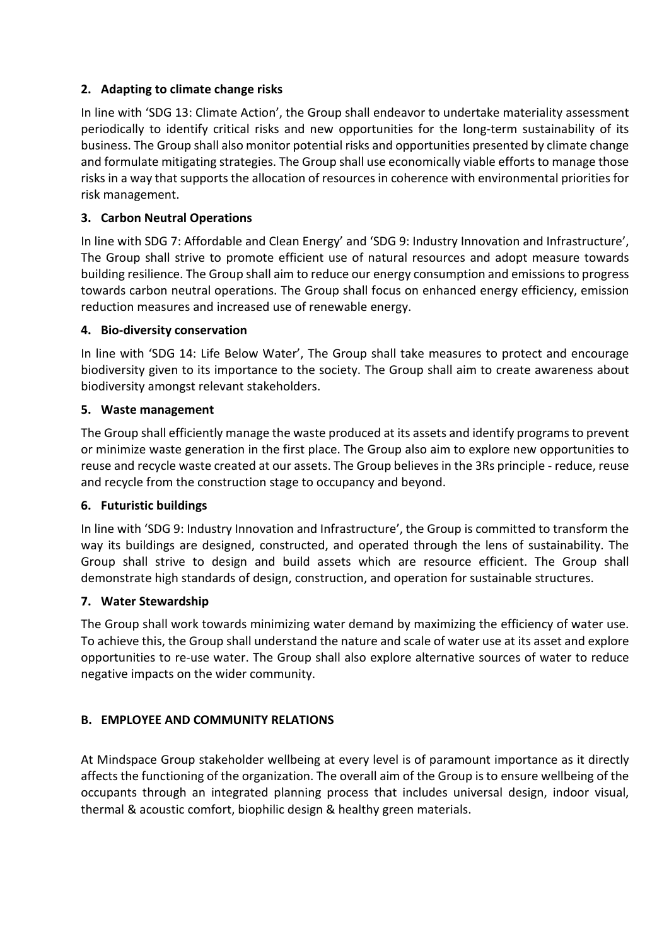# **2. Adapting to climate change risks**

In line with 'SDG 13: Climate Action', the Group shall endeavor to undertake materiality assessment periodically to identify critical risks and new opportunities for the long-term sustainability of its business. The Group shall also monitor potential risks and opportunities presented by climate change and formulate mitigating strategies. The Group shall use economically viable efforts to manage those risks in a way that supports the allocation of resources in coherence with environmental priorities for risk management.

# **3. Carbon Neutral Operations**

In line with SDG 7: Affordable and Clean Energy' and 'SDG 9: Industry Innovation and Infrastructure', The Group shall strive to promote efficient use of natural resources and adopt measure towards building resilience. The Group shall aim to reduce our energy consumption and emissions to progress towards carbon neutral operations. The Group shall focus on enhanced energy efficiency, emission reduction measures and increased use of renewable energy.

### **4. Bio-diversity conservation**

In line with 'SDG 14: Life Below Water', The Group shall take measures to protect and encourage biodiversity given to its importance to the society. The Group shall aim to create awareness about biodiversity amongst relevant stakeholders.

### **5. Waste management**

The Group shall efficiently manage the waste produced at its assets and identify programs to prevent or minimize waste generation in the first place. The Group also aim to explore new opportunities to reuse and recycle waste created at our assets. The Group believes in the 3Rs principle - reduce, reuse and recycle from the construction stage to occupancy and beyond.

# **6. Futuristic buildings**

In line with 'SDG 9: Industry Innovation and Infrastructure', the Group is committed to transform the way its buildings are designed, constructed, and operated through the lens of sustainability. The Group shall strive to design and build assets which are resource efficient. The Group shall demonstrate high standards of design, construction, and operation for sustainable structures.

# **7. Water Stewardship**

The Group shall work towards minimizing water demand by maximizing the efficiency of water use. To achieve this, the Group shall understand the nature and scale of water use at its asset and explore opportunities to re-use water. The Group shall also explore alternative sources of water to reduce negative impacts on the wider community.

# **B. EMPLOYEE AND COMMUNITY RELATIONS**

At Mindspace Group stakeholder wellbeing at every level is of paramount importance as it directly affects the functioning of the organization. The overall aim of the Group is to ensure wellbeing of the occupants through an integrated planning process that includes universal design, indoor visual, thermal & acoustic comfort, biophilic design & healthy green materials.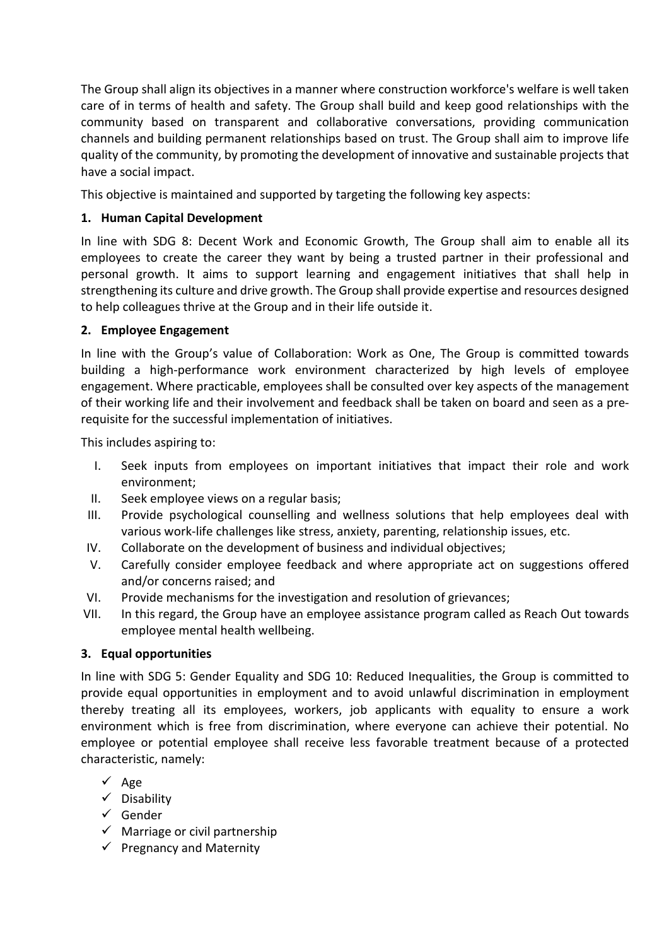The Group shall align its objectives in a manner where construction workforce's welfare is well taken care of in terms of health and safety. The Group shall build and keep good relationships with the community based on transparent and collaborative conversations, providing communication channels and building permanent relationships based on trust. The Group shall aim to improve life quality of the community, by promoting the development of innovative and sustainable projects that have a social impact.

This objective is maintained and supported by targeting the following key aspects:

# **1. Human Capital Development**

In line with SDG 8: Decent Work and Economic Growth, The Group shall aim to enable all its employees to create the career they want by being a trusted partner in their professional and personal growth. It aims to support learning and engagement initiatives that shall help in strengthening its culture and drive growth. The Group shall provide expertise and resources designed to help colleagues thrive at the Group and in their life outside it.

# **2. Employee Engagement**

In line with the Group's value of Collaboration: Work as One, The Group is committed towards building a high-performance work environment characterized by high levels of employee engagement. Where practicable, employees shall be consulted over key aspects of the management of their working life and their involvement and feedback shall be taken on board and seen as a prerequisite for the successful implementation of initiatives.

This includes aspiring to:

- I. Seek inputs from employees on important initiatives that impact their role and work environment;
- II. Seek employee views on a regular basis;
- III. Provide psychological counselling and wellness solutions that help employees deal with various work-life challenges like stress, anxiety, parenting, relationship issues, etc.
- IV. Collaborate on the development of business and individual objectives;
- V. Carefully consider employee feedback and where appropriate act on suggestions offered and/or concerns raised; and
- VI. Provide mechanisms for the investigation and resolution of grievances;
- VII. In this regard, the Group have an employee assistance program called as Reach Out towards employee mental health wellbeing.

# **3. Equal opportunities**

In line with SDG 5: Gender Equality and SDG 10: Reduced Inequalities, the Group is committed to provide equal opportunities in employment and to avoid unlawful discrimination in employment thereby treating all its employees, workers, job applicants with equality to ensure a work environment which is free from discrimination, where everyone can achieve their potential. No employee or potential employee shall receive less favorable treatment because of a protected characteristic, namely:

- $\checkmark$  Age
- $\checkmark$  Disability
- $\checkmark$  Gender
- $\checkmark$  Marriage or civil partnership
- $\checkmark$  Pregnancy and Maternity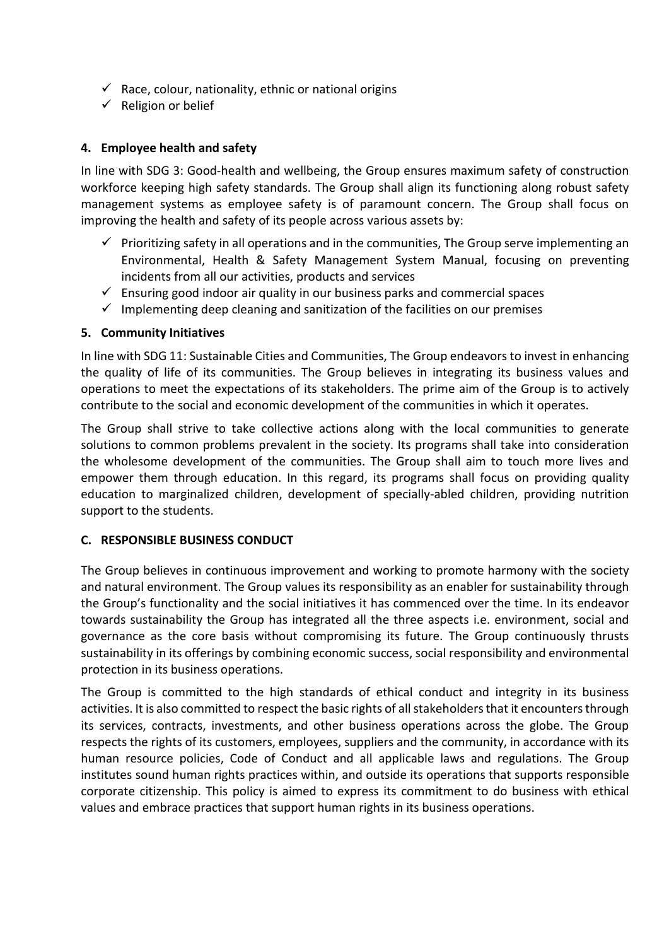- $\checkmark$  Race, colour, nationality, ethnic or national origins
- $\checkmark$  Religion or belief

### **4. Employee health and safety**

In line with SDG 3: Good-health and wellbeing, the Group ensures maximum safety of construction workforce keeping high safety standards. The Group shall align its functioning along robust safety management systems as employee safety is of paramount concern. The Group shall focus on improving the health and safety of its people across various assets by:

- $\checkmark$  Prioritizing safety in all operations and in the communities, The Group serve implementing an Environmental, Health & Safety Management System Manual, focusing on preventing incidents from all our activities, products and services
- $\checkmark$  Ensuring good indoor air quality in our business parks and commercial spaces
- $\checkmark$  Implementing deep cleaning and sanitization of the facilities on our premises

### **5. Community Initiatives**

In line with SDG 11: Sustainable Cities and Communities, The Group endeavors to invest in enhancing the quality of life of its communities. The Group believes in integrating its business values and operations to meet the expectations of its stakeholders. The prime aim of the Group is to actively contribute to the social and economic development of the communities in which it operates.

The Group shall strive to take collective actions along with the local communities to generate solutions to common problems prevalent in the society. Its programs shall take into consideration the wholesome development of the communities. The Group shall aim to touch more lives and empower them through education. In this regard, its programs shall focus on providing quality education to marginalized children, development of specially-abled children, providing nutrition support to the students.

### **C. RESPONSIBLE BUSINESS CONDUCT**

The Group believes in continuous improvement and working to promote harmony with the society and natural environment. The Group values its responsibility as an enabler for sustainability through the Group's functionality and the social initiatives it has commenced over the time. In its endeavor towards sustainability the Group has integrated all the three aspects i.e. environment, social and governance as the core basis without compromising its future. The Group continuously thrusts sustainability in its offerings by combining economic success, social responsibility and environmental protection in its business operations.

The Group is committed to the high standards of ethical conduct and integrity in its business activities. It is also committed to respect the basic rights of all stakeholders that it encounters through its services, contracts, investments, and other business operations across the globe. The Group respects the rights of its customers, employees, suppliers and the community, in accordance with its human resource policies, Code of Conduct and all applicable laws and regulations. The Group institutes sound human rights practices within, and outside its operations that supports responsible corporate citizenship. This policy is aimed to express its commitment to do business with ethical values and embrace practices that support human rights in its business operations.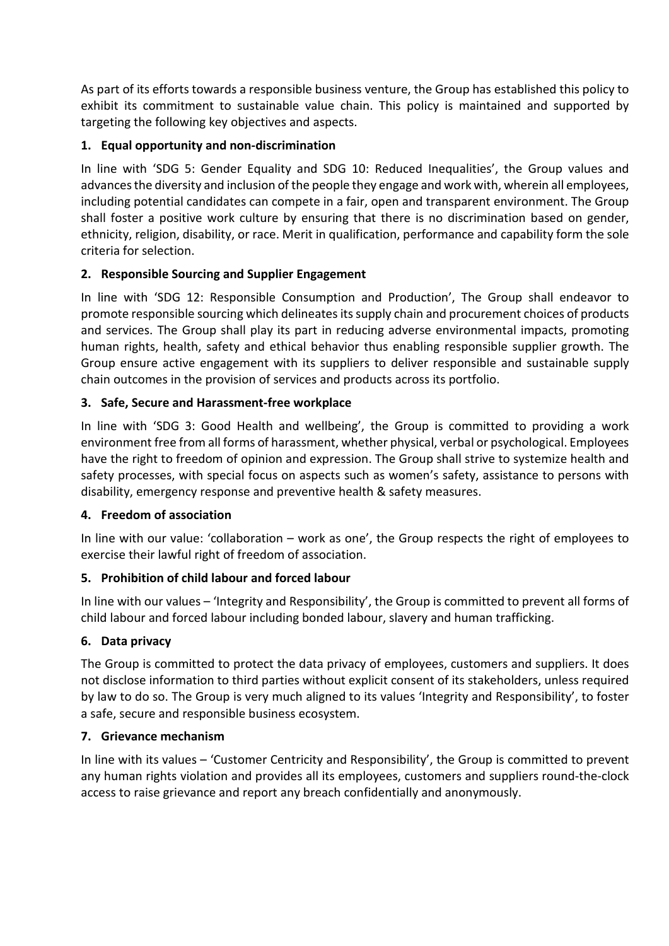As part of its efforts towards a responsible business venture, the Group has established this policy to exhibit its commitment to sustainable value chain. This policy is maintained and supported by targeting the following key objectives and aspects.

# **1. Equal opportunity and non-discrimination**

In line with 'SDG 5: Gender Equality and SDG 10: Reduced Inequalities', the Group values and advances the diversity and inclusion of the people they engage and work with, wherein all employees, including potential candidates can compete in a fair, open and transparent environment. The Group shall foster a positive work culture by ensuring that there is no discrimination based on gender, ethnicity, religion, disability, or race. Merit in qualification, performance and capability form the sole criteria for selection.

# **2. Responsible Sourcing and Supplier Engagement**

In line with 'SDG 12: Responsible Consumption and Production', The Group shall endeavor to promote responsible sourcing which delineates itssupply chain and procurement choices of products and services. The Group shall play its part in reducing adverse environmental impacts, promoting human rights, health, safety and ethical behavior thus enabling responsible supplier growth. The Group ensure active engagement with its suppliers to deliver responsible and sustainable supply chain outcomes in the provision of services and products across its portfolio.

# **3. Safe, Secure and Harassment-free workplace**

In line with 'SDG 3: Good Health and wellbeing', the Group is committed to providing a work environment free from all forms of harassment, whether physical, verbal or psychological. Employees have the right to freedom of opinion and expression. The Group shall strive to systemize health and safety processes, with special focus on aspects such as women's safety, assistance to persons with disability, emergency response and preventive health & safety measures.

# **4. Freedom of association**

In line with our value: 'collaboration – work as one', the Group respects the right of employees to exercise their lawful right of freedom of association.

# **5. Prohibition of child labour and forced labour**

In line with our values – 'Integrity and Responsibility', the Group is committed to prevent all forms of child labour and forced labour including bonded labour, slavery and human trafficking.

# **6. Data privacy**

The Group is committed to protect the data privacy of employees, customers and suppliers. It does not disclose information to third parties without explicit consent of its stakeholders, unless required by law to do so. The Group is very much aligned to its values 'Integrity and Responsibility', to foster a safe, secure and responsible business ecosystem.

# **7. Grievance mechanism**

In line with its values – 'Customer Centricity and Responsibility', the Group is committed to prevent any human rights violation and provides all its employees, customers and suppliers round-the-clock access to raise grievance and report any breach confidentially and anonymously.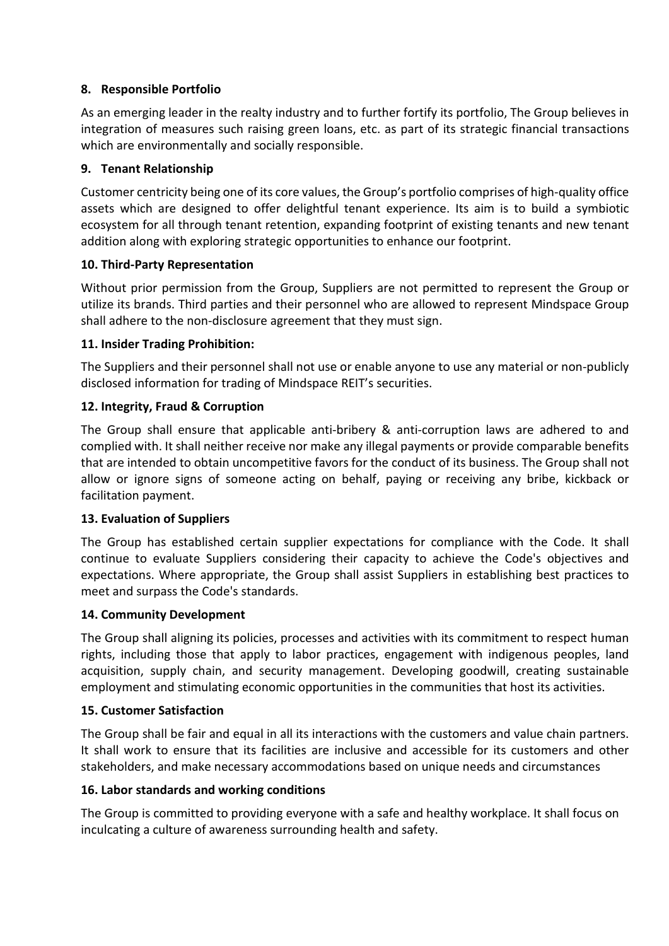# **8. Responsible Portfolio**

As an emerging leader in the realty industry and to further fortify its portfolio, The Group believes in integration of measures such raising green loans, etc. as part of its strategic financial transactions which are environmentally and socially responsible.

# **9. Tenant Relationship**

Customer centricity being one of its core values, the Group's portfolio comprises of high-quality office assets which are designed to offer delightful tenant experience. Its aim is to build a symbiotic ecosystem for all through tenant retention, expanding footprint of existing tenants and new tenant addition along with exploring strategic opportunities to enhance our footprint.

### **10. Third-Party Representation**

Without prior permission from the Group, Suppliers are not permitted to represent the Group or utilize its brands. Third parties and their personnel who are allowed to represent Mindspace Group shall adhere to the non-disclosure agreement that they must sign.

### **11. Insider Trading Prohibition:**

The Suppliers and their personnel shall not use or enable anyone to use any material or non-publicly disclosed information for trading of Mindspace REIT's securities.

# **12. Integrity, Fraud & Corruption**

The Group shall ensure that applicable anti-bribery & anti-corruption laws are adhered to and complied with. It shall neither receive nor make any illegal payments or provide comparable benefits that are intended to obtain uncompetitive favors for the conduct of its business. The Group shall not allow or ignore signs of someone acting on behalf, paying or receiving any bribe, kickback or facilitation payment.

### **13. Evaluation of Suppliers**

The Group has established certain supplier expectations for compliance with the Code. It shall continue to evaluate Suppliers considering their capacity to achieve the Code's objectives and expectations. Where appropriate, the Group shall assist Suppliers in establishing best practices to meet and surpass the Code's standards.

### **14. Community Development**

The Group shall aligning its policies, processes and activities with its commitment to respect human rights, including those that apply to labor practices, engagement with indigenous peoples, land acquisition, supply chain, and security management. Developing goodwill, creating sustainable employment and stimulating economic opportunities in the communities that host its activities.

# **15. Customer Satisfaction**

The Group shall be fair and equal in all its interactions with the customers and value chain partners. It shall work to ensure that its facilities are inclusive and accessible for its customers and other stakeholders, and make necessary accommodations based on unique needs and circumstances

### **16. Labor standards and working conditions**

The Group is committed to providing everyone with a safe and healthy workplace. It shall focus on inculcating a culture of awareness surrounding health and safety.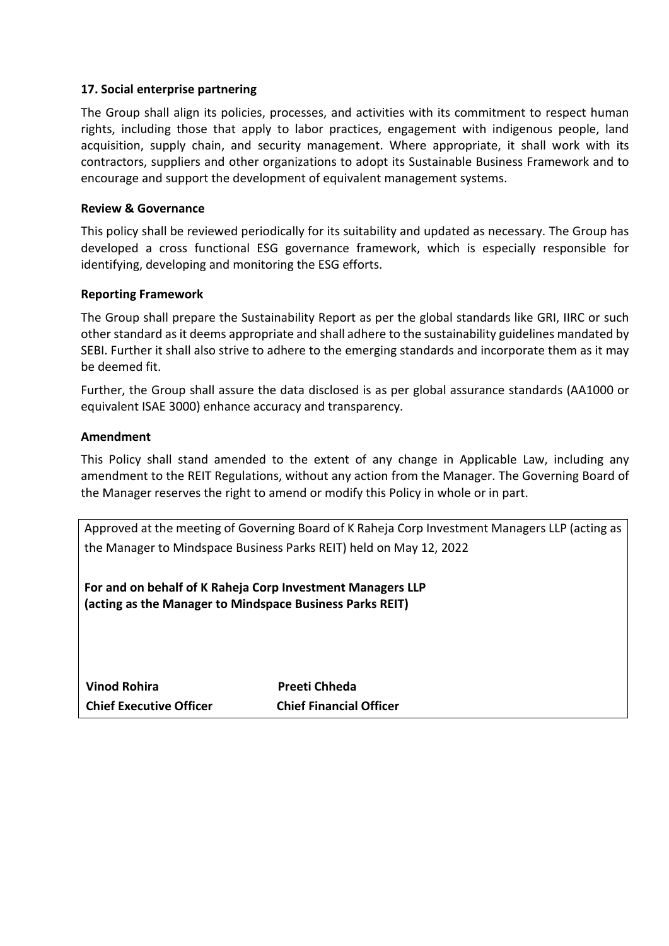### **17. Social enterprise partnering**

The Group shall align its policies, processes, and activities with its commitment to respect human rights, including those that apply to labor practices, engagement with indigenous people, land acquisition, supply chain, and security management. Where appropriate, it shall work with its contractors, suppliers and other organizations to adopt its Sustainable Business Framework and to encourage and support the development of equivalent management systems.

### **Review & Governance**

This policy shall be reviewed periodically for its suitability and updated as necessary. The Group has developed a cross functional ESG governance framework, which is especially responsible for identifying, developing and monitoring the ESG efforts.

### **Reporting Framework**

The Group shall prepare the Sustainability Report as per the global standards like GRI, IIRC or such other standard as it deems appropriate and shall adhere to the sustainability guidelines mandated by SEBI. Further it shall also strive to adhere to the emerging standards and incorporate them as it may be deemed fit.

Further, the Group shall assure the data disclosed is as per global assurance standards (AA1000 or equivalent ISAE 3000) enhance accuracy and transparency.

### **Amendment**

This Policy shall stand amended to the extent of any change in Applicable Law, including any amendment to the REIT Regulations, without any action from the Manager. The Governing Board of the Manager reserves the right to amend or modify this Policy in whole or in part.

Approved at the meeting of Governing Board of K Raheja Corp Investment Managers LLP (acting as the Manager to Mindspace Business Parks REIT) held on May 12, 2022

**For and on behalf of K Raheja Corp Investment Managers LLP (acting as the Manager to Mindspace Business Parks REIT)**

**Vinod Rohira** Preeti Chheda

**Chief Executive Officer Chief Financial Officer**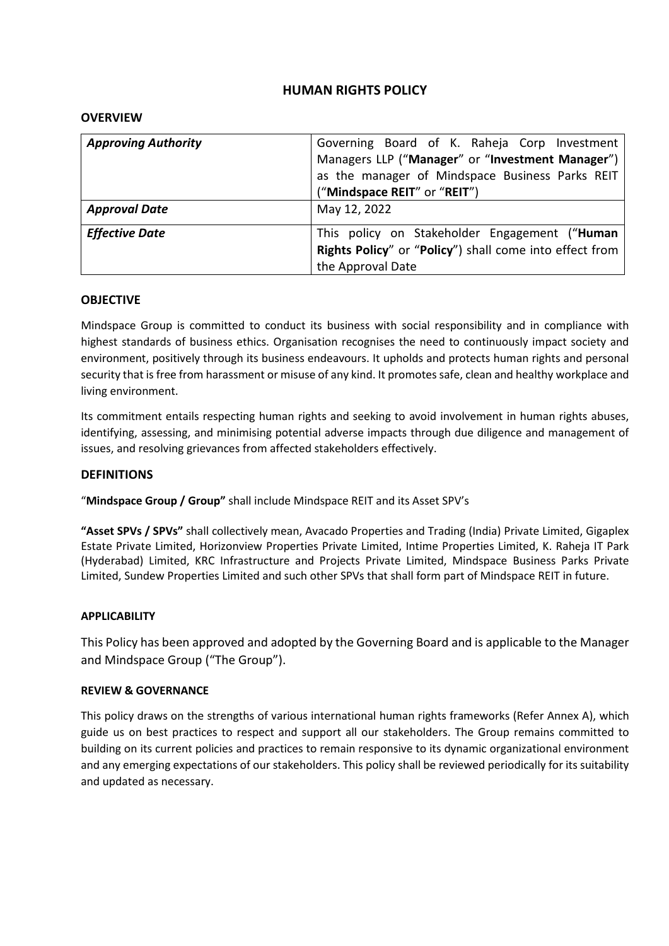### **HUMAN RIGHTS POLICY**

#### **OVERVIEW**

| <b>Approving Authority</b> | Governing Board of K. Raheja Corp Investment            |
|----------------------------|---------------------------------------------------------|
|                            | Managers LLP ("Manager" or "Investment Manager")        |
|                            | as the manager of Mindspace Business Parks REIT         |
|                            | ("Mindspace REIT" or "REIT")                            |
| <b>Approval Date</b>       | May 12, 2022                                            |
| <b>Effective Date</b>      | This policy on Stakeholder Engagement ("Human           |
|                            | Rights Policy" or "Policy") shall come into effect from |
|                            | the Approval Date                                       |

#### **OBJECTIVE**

Mindspace Group is committed to conduct its business with social responsibility and in compliance with highest standards of business ethics. Organisation recognises the need to continuously impact society and environment, positively through its business endeavours. It upholds and protects human rights and personal security that is free from harassment or misuse of any kind. It promotes safe, clean and healthy workplace and living environment.

Its commitment entails respecting human rights and seeking to avoid involvement in human rights abuses, identifying, assessing, and minimising potential adverse impacts through due diligence and management of issues, and resolving grievances from affected stakeholders effectively.

#### **DEFINITIONS**

"**Mindspace Group / Group"** shall include Mindspace REIT and its Asset SPV's

**"Asset SPVs / SPVs"** shall collectively mean, Avacado Properties and Trading (India) Private Limited, Gigaplex Estate Private Limited, Horizonview Properties Private Limited, Intime Properties Limited, K. Raheja IT Park (Hyderabad) Limited, KRC Infrastructure and Projects Private Limited, Mindspace Business Parks Private Limited, Sundew Properties Limited and such other SPVs that shall form part of Mindspace REIT in future.

#### **APPLICABILITY**

This Policy has been approved and adopted by the Governing Board and is applicable to the Manager and Mindspace Group ("The Group").

#### **REVIEW & GOVERNANCE**

This policy draws on the strengths of various international human rights frameworks (Refer Annex A), which guide us on best practices to respect and support all our stakeholders. The Group remains committed to building on its current policies and practices to remain responsive to its dynamic organizational environment and any emerging expectations of our stakeholders. This policy shall be reviewed periodically for its suitability and updated as necessary.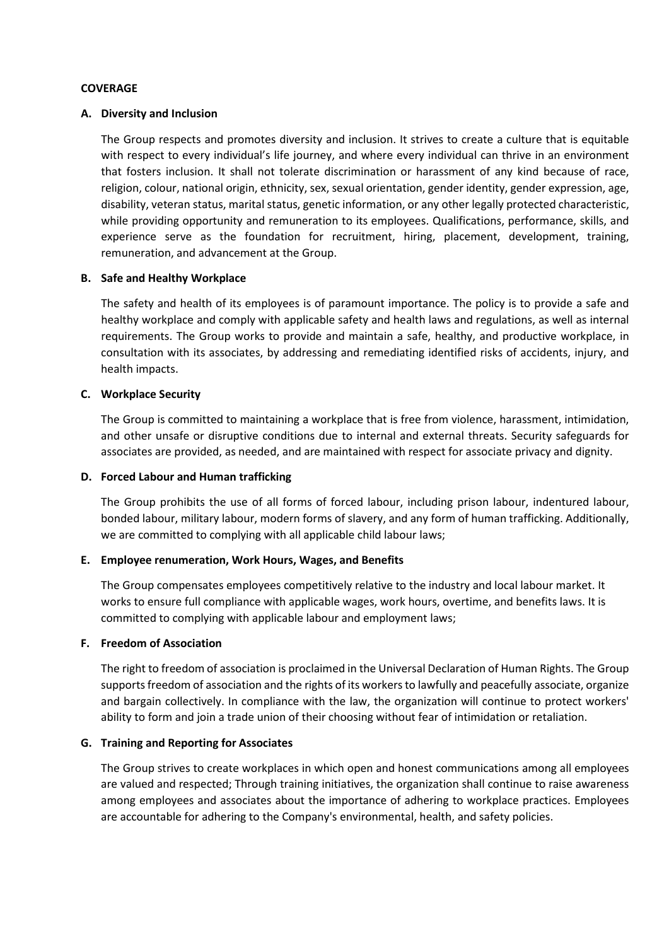#### **COVERAGE**

#### **A. Diversity and Inclusion**

The Group respects and promotes diversity and inclusion. It strives to create a culture that is equitable with respect to every individual's life journey, and where every individual can thrive in an environment that fosters inclusion. It shall not tolerate discrimination or harassment of any kind because of race, religion, colour, national origin, ethnicity, sex, sexual orientation, gender identity, gender expression, age, disability, veteran status, marital status, genetic information, or any other legally protected characteristic, while providing opportunity and remuneration to its employees. Qualifications, performance, skills, and experience serve as the foundation for recruitment, hiring, placement, development, training, remuneration, and advancement at the Group.

#### **B. Safe and Healthy Workplace**

The safety and health of its employees is of paramount importance. The policy is to provide a safe and healthy workplace and comply with applicable safety and health laws and regulations, as well as internal requirements. The Group works to provide and maintain a safe, healthy, and productive workplace, in consultation with its associates, by addressing and remediating identified risks of accidents, injury, and health impacts.

#### **C. Workplace Security**

The Group is committed to maintaining a workplace that is free from violence, harassment, intimidation, and other unsafe or disruptive conditions due to internal and external threats. Security safeguards for associates are provided, as needed, and are maintained with respect for associate privacy and dignity.

#### **D. Forced Labour and Human trafficking**

The Group prohibits the use of all forms of forced labour, including prison labour, indentured labour, bonded labour, military labour, modern forms of slavery, and any form of human trafficking. Additionally, we are committed to complying with all applicable child labour laws;

#### **E. Employee renumeration, Work Hours, Wages, and Benefits**

The Group compensates employees competitively relative to the industry and local labour market. It works to ensure full compliance with applicable wages, work hours, overtime, and benefits laws. It is committed to complying with applicable labour and employment laws;

#### **F. Freedom of Association**

The right to freedom of association is proclaimed in the Universal Declaration of Human Rights. The Group supports freedom of association and the rights of its workers to lawfully and peacefully associate, organize and bargain collectively. In compliance with the law, the organization will continue to protect workers' ability to form and join a trade union of their choosing without fear of intimidation or retaliation.

#### **G. Training and Reporting for Associates**

The Group strives to create workplaces in which open and honest communications among all employees are valued and respected; Through training initiatives, the organization shall continue to raise awareness among employees and associates about the importance of adhering to workplace practices. Employees are accountable for adhering to the Company's environmental, health, and safety policies.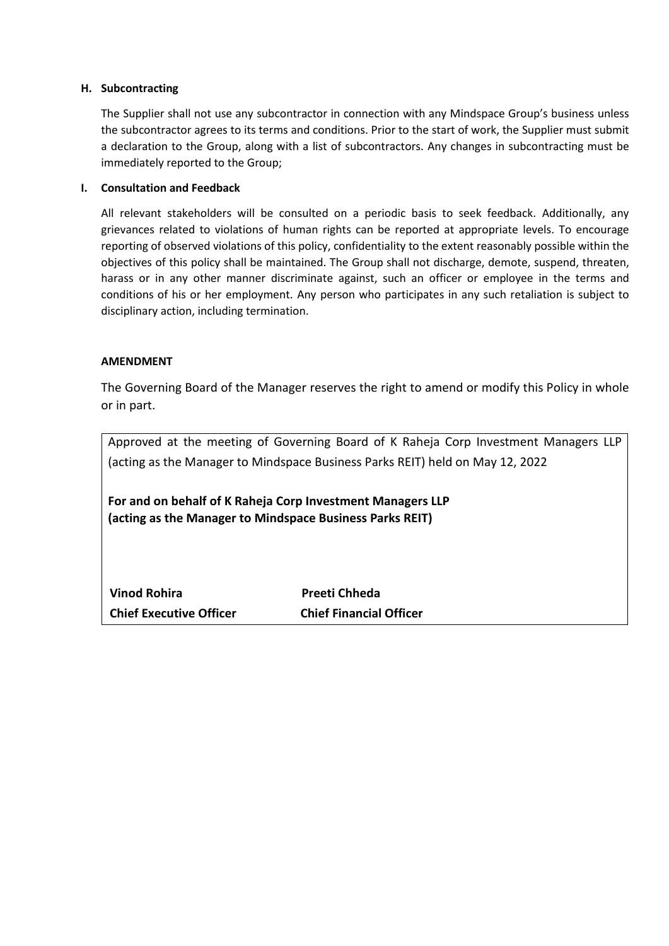#### **H. Subcontracting**

The Supplier shall not use any subcontractor in connection with any Mindspace Group's business unless the subcontractor agrees to its terms and conditions. Prior to the start of work, the Supplier must submit a declaration to the Group, along with a list of subcontractors. Any changes in subcontracting must be immediately reported to the Group;

#### **I. Consultation and Feedback**

All relevant stakeholders will be consulted on a periodic basis to seek feedback. Additionally, any grievances related to violations of human rights can be reported at appropriate levels. To encourage reporting of observed violations of this policy, confidentiality to the extent reasonably possible within the objectives of this policy shall be maintained. The Group shall not discharge, demote, suspend, threaten, harass or in any other manner discriminate against, such an officer or employee in the terms and conditions of his or her employment. Any person who participates in any such retaliation is subject to disciplinary action, including termination.

#### **AMENDMENT**

The Governing Board of the Manager reserves the right to amend or modify this Policy in whole or in part.

| Approved at the meeting of Governing Board of K Raheja Corp Investment Managers LLP |
|-------------------------------------------------------------------------------------|
| (acting as the Manager to Mindspace Business Parks REIT) held on May 12, 2022       |

**For and on behalf of K Raheja Corp Investment Managers LLP (acting as the Manager to Mindspace Business Parks REIT)**

| <b>Vinod Rohira</b>            |  |
|--------------------------------|--|
| <b>Chief Executive Officer</b> |  |

**Preeti Chheda Chief Financial Officer**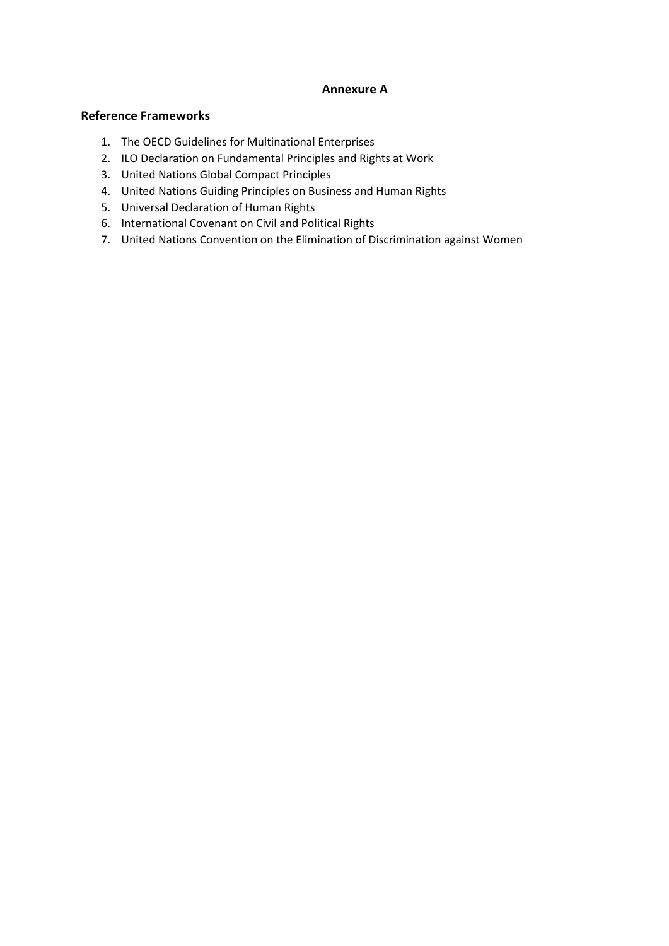### **Annexure A**

#### **Reference Frameworks**

- 1. The OECD Guidelines for Multinational Enterprises
- 2. ILO Declaration on Fundamental Principles and Rights at Work
- 3. United Nations Global Compact Principles
- 4. United Nations Guiding Principles on Business and Human Rights
- 5. Universal Declaration of Human Rights
- 6. International Covenant on Civil and Political Rights
- 7. United Nations Convention on the Elimination of Discrimination against Women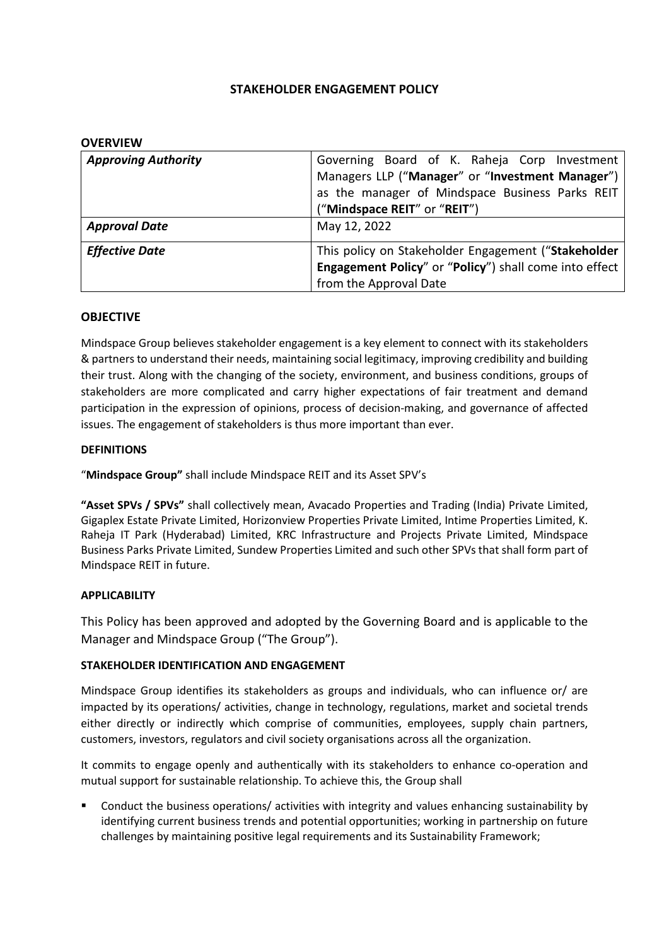### **STAKEHOLDER ENGAGEMENT POLICY**

#### **OVERVIEW**

| <b>Approving Authority</b> | Governing Board of K. Raheja Corp Investment           |
|----------------------------|--------------------------------------------------------|
|                            | Managers LLP ("Manager" or "Investment Manager")       |
|                            | as the manager of Mindspace Business Parks REIT        |
|                            | ("Mindspace REIT" or "REIT")                           |
| <b>Approval Date</b>       | May 12, 2022                                           |
| <b>Effective Date</b>      | This policy on Stakeholder Engagement ("Stakeholder    |
|                            | Engagement Policy" or "Policy") shall come into effect |
|                            | from the Approval Date                                 |

#### **OBJECTIVE**

Mindspace Group believes stakeholder engagement is a key element to connect with its stakeholders & partners to understand their needs, maintaining social legitimacy, improving credibility and building their trust. Along with the changing of the society, environment, and business conditions, groups of stakeholders are more complicated and carry higher expectations of fair treatment and demand participation in the expression of opinions, process of decision-making, and governance of affected issues. The engagement of stakeholders is thus more important than ever.

#### **DEFINITIONS**

"**Mindspace Group"** shall include Mindspace REIT and its Asset SPV's

**"Asset SPVs / SPVs"** shall collectively mean, Avacado Properties and Trading (India) Private Limited, Gigaplex Estate Private Limited, Horizonview Properties Private Limited, Intime Properties Limited, K. Raheja IT Park (Hyderabad) Limited, KRC Infrastructure and Projects Private Limited, Mindspace Business Parks Private Limited, Sundew Properties Limited and such other SPVs that shall form part of Mindspace REIT in future.

#### **APPLICABILITY**

This Policy has been approved and adopted by the Governing Board and is applicable to the Manager and Mindspace Group ("The Group").

### **STAKEHOLDER IDENTIFICATION AND ENGAGEMENT**

Mindspace Group identifies its stakeholders as groups and individuals, who can influence or/ are impacted by its operations/ activities, change in technology, regulations, market and societal trends either directly or indirectly which comprise of communities, employees, supply chain partners, customers, investors, regulators and civil society organisations across all the organization.

It commits to engage openly and authentically with its stakeholders to enhance co-operation and mutual support for sustainable relationship. To achieve this, the Group shall

 Conduct the business operations/ activities with integrity and values enhancing sustainability by identifying current business trends and potential opportunities; working in partnership on future challenges by maintaining positive legal requirements and its Sustainability Framework;